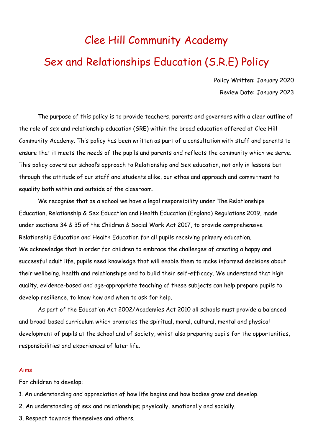# Clee Hill Community Academy Sex and Relationships Education (S.R.E) Policy

Policy Written: January 2020 Review Date: January 2023

The purpose of this policy is to provide teachers, parents and governors with a clear outline of the role of sex and relationship education (SRE) within the broad education offered at Clee Hill Community Academy. This policy has been written as part of a consultation with staff and parents to ensure that it meets the needs of the pupils and parents and reflects the community which we serve. This policy covers our school's approach to Relationship and Sex education, not only in lessons but through the attitude of our staff and students alike, our ethos and approach and commitment to equality both within and outside of the classroom.

We recognise that as a school we have a legal responsibility under The Relationships Education, Relationship & Sex Education and Health Education (England) Regulations 2019, made under sections 34 & 35 of the Children & Social Work Act 2017, to provide comprehensive Relationship Education and Health Education for all pupils receiving primary education. We acknowledge that in order for children to embrace the challenges of creating a happy and successful adult life, pupils need knowledge that will enable them to make informed decisions about their wellbeing, health and relationships and to build their self-efficacy. We understand that high quality, evidence-based and age-appropriate teaching of these subjects can help prepare pupils to develop resilience, to know how and when to ask for help.

As part of the Education Act 2002/Academies Act 2010 all schools must provide a balanced and broad-based curriculum which promotes the spiritual, moral, cultural, mental and physical development of pupils at the school and of society, whilst also preparing pupils for the opportunities, responsibilities and experiences of later life.

#### Aims

For children to develop:

- 1. An understanding and appreciation of how life begins and how bodies grow and develop.
- 2. An understanding of sex and relationships; physically, emotionally and socially.
- 3. Respect towards themselves and others.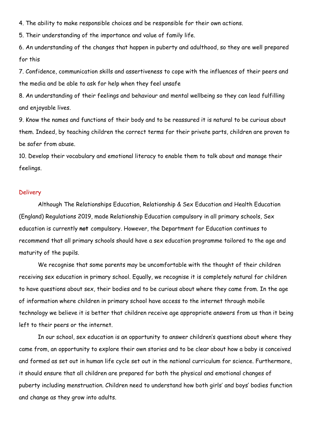4. The ability to make responsible choices and be responsible for their own actions.

5. Their understanding of the importance and value of family life.

6. An understanding of the changes that happen in puberty and adulthood, so they are well prepared for this

7. Confidence, communication skills and assertiveness to cope with the influences of their peers and the media and be able to ask for help when they feel unsafe

8. An understanding of their feelings and behaviour and mental wellbeing so they can lead fulfilling and enjoyable lives.

9. Know the names and functions of their body and to be reassured it is natural to be curious about them. Indeed, by teaching children the correct terms for their private parts, children are proven to be safer from abuse.

10. Develop their vocabulary and emotional literacy to enable them to talk about and manage their feelings.

#### **Delivery**

Although The Relationships Education, Relationship & Sex Education and Health Education (England) Regulations 2019, made Relationship Education compulsory in all primary schools, Sex education is currently **not** compulsory. However, the Department for Education continues to recommend that all primary schools should have a sex education programme tailored to the age and maturity of the pupils.

We recognise that some parents may be uncomfortable with the thought of their children receiving sex education in primary school. Equally, we recognise it is completely natural for children to have questions about sex, their bodies and to be curious about where they came from. In the age of information where children in primary school have access to the internet through mobile technology we believe it is better that children receive age appropriate answers from us than it being left to their peers or the internet.

In our school, sex education is an opportunity to answer children's questions about where they came from, an opportunity to explore their own stories and to be clear about how a baby is conceived and formed as set out in human life cycle set out in the national curriculum for science. Furthermore, it should ensure that all children are prepared for both the physical and emotional changes of puberty including menstruation. Children need to understand how both girls' and boys' bodies function and change as they grow into adults.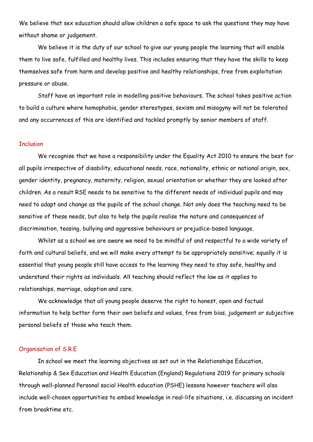We believe that sex education should allow children a safe space to ask the questions they may have without shame or judgement.

We believe it is the duty of our school to give our young people the learning that will enable them to live safe, fulfilled and healthy lives. This includes ensuring that they have the skills to keep themselves safe from harm and develop positive and healthy relationships, free from exploitation pressure or abuse.

Staff have an important role in modelling positive behaviours. The school takes positive action to build a culture where homophobia, gender stereotypes, sexism and misogyny will not be tolerated and any occurrences of this are identified and tackled promptly by senior members of staff.

#### **Inclusion**

We recognise that we have a responsibility under the Equality Act 2010 to ensure the best for all pupils irrespective of disability, educational needs, race, nationality, ethnic or national origin, sex, gender identity, pregnancy, maternity, religion, sexual orientation or whether they are looked after children. As a result RSE needs to be sensitive to the different needs of individual pupils and may need to adapt and change as the pupils of the school change. Not only does the teaching need to be sensitive of these needs, but also to help the pupils realise the nature and consequences of discrimination, teasing, bullying and aggressive behaviours or prejudice-based language.

Whilst as a school we are aware we need to be mindful of and respectful to a wide variety of faith and cultural beliefs, and we will make every attempt to be appropriately sensitive; equally it is essential that young people still have access to the learning they need to stay safe, healthy and understand their rights as individuals. All teaching should reflect the law as it applies to relationships, marriage, adoption and care.

We acknowledge that all young people deserve the right to honest, open and factual information to help better form their own beliefs and values, free from bias, judgement or subjective personal beliefs of those who teach them.

## Organisation of S.R.E

In school we meet the learning objectives as set out in the Relationships Education, Relationship & Sex Education and Health Education (England) Regulations 2019 for primary schools through well-planned Personal social Health education (PSHE) lessons however teachers will also include well-chosen opportunities to embed knowledge in real-life situations, i.e. discussing an incident from breaktime etc.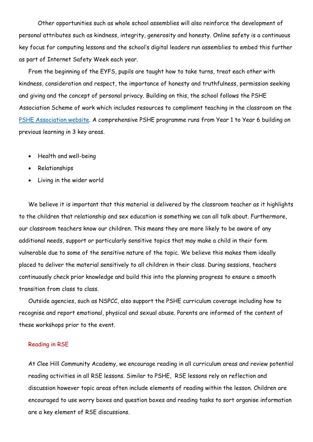Other opportunities such as whole school assemblies will also reinforce the development of personal attributes such as kindness, integrity, generosity and honesty. Online safety is a continuous key focus for computing lessons and the school's digital leaders run assemblies to embed this further as part of Internet Safety Week each year.

From the beginning of the EYFS, pupils are taught how to take turns, treat each other with kindness, consideration and respect, the importance of honesty and truthfulness, permission seeking and giving and the concept of personal privacy. Building on this, the school follows the PSHE Association Scheme of work which includes resources to compliment teaching in the classroom on the [PSHE Association website.](https://www.pshe-association.org.uk/) A comprehensive PSHE programme runs from Year 1 to Year 6 building on previous learning in 3 key areas.

- Health and well-being
- Relationships
- Living in the wider world

We believe it is important that this material is delivered by the classroom teacher as it highlights to the children that relationship and sex education is something we can all talk about. Furthermore, our classroom teachers know our children. This means they are more likely to be aware of any additional needs, support or particularly sensitive topics that may make a child in their form vulnerable due to some of the sensitive nature of the topic. We believe this makes them ideally placed to deliver the material sensitively to all children in their class. During sessions, teachers continuously check prior knowledge and build this into the planning progress to ensure a smooth transition from class to class.

Outside agencies, such as NSPCC, also support the PSHE curriculum coverage including how to recognise and report emotional, physical and sexual abuse. Parents are informed of the content of these workshops prior to the event.

#### Reading in RSE

At Clee Hill Community Academy, we encourage reading in all curriculum areas and review potential reading activities in all RSE lessons. Similar to PSHE, RSE lessons rely on reflection and discussion however topic areas often include elements of reading within the lesson. Children are encouraged to use worry boxes and question boxes and reading tasks to sort organise information are a key element of RSE discussions.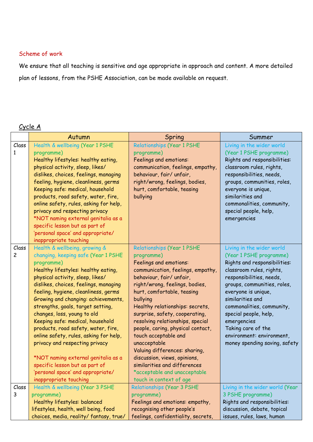### Scheme of work

We ensure that all teaching is sensitive and age appropriate in approach and content. A more detailed plan of lessons, from the PSHE Association, can be made available on request.

# Cycle A

|                | Autumn                                                               | Spring                                   | Summer                                                  |
|----------------|----------------------------------------------------------------------|------------------------------------------|---------------------------------------------------------|
| Class          | Health & wellbeing (Year 1 PSHE                                      | Relationships (Year 1 PSHE               | Living in the wider world                               |
| 1              | programme)                                                           | programme)                               | (Year 1 PSHE programme)                                 |
|                | Healthy lifestyles: healthy eating,                                  | Feelings and emotions:                   | Rights and responsibilities:                            |
|                | physical activity, sleep, likes/                                     | communication, feelings, empathy,        | classroom rules, rights,                                |
|                | dislikes, choices, feelings, managing                                | behaviour, fair/ unfair,                 | responsibilities, needs,                                |
|                | feeling, hygiene, cleanliness, germs                                 | right/wrong, feelings, bodies,           | groups, communities, roles,                             |
|                | Keeping safe: medical, household                                     | hurt, comfortable, teasing               | everyone is unique,                                     |
|                | products, road safety, water, fire,                                  | bullying                                 | similarities and                                        |
|                | online safety, rules, asking for help,                               |                                          | commonalities, community,                               |
|                | privacy and respecting privacy                                       |                                          | special people, help,                                   |
|                | *NOT naming external genitalia as a                                  |                                          | emergencies                                             |
|                | specific lesson but as part of                                       |                                          |                                                         |
|                | 'personal space' and appropriate/                                    |                                          |                                                         |
| Class          | inappropriate touching                                               |                                          |                                                         |
| $\overline{c}$ | Health & wellbeing, growing &<br>changing, keeping safe (Year 1 PSHE | Relationships (Year 1 PSHE<br>programme) | Living in the wider world                               |
|                | programme)                                                           | Feelings and emotions:                   | (Year 1 PSHE programme)<br>Rights and responsibilities: |
|                | Healthy lifestyles: healthy eating,                                  | communication, feelings, empathy,        | classroom rules, rights,                                |
|                | physical activity, sleep, likes/                                     | behaviour, fair/ unfair,                 | responsibilities, needs,                                |
|                | dislikes, choices, feelings, managing                                | right/wrong, feelings, bodies,           | groups, communities, roles,                             |
|                | feeling, hygiene, cleanliness, germs                                 | hurt, comfortable, teasing               | everyone is unique,                                     |
|                | Growing and changing: achievements,                                  | bullying                                 | similarities and                                        |
|                | strengths, goals, target setting,                                    | Healthy relationships: secrets,          | commonalities, community,                               |
|                | changes, loss, young to old                                          | surprise, safety, cooperating,           | special people, help,                                   |
|                | Keeping safe: medical, household                                     | resolving relationships, special         | emergencies                                             |
|                | products, road safety, water, fire,                                  | people, caring, physical contact,        | Taking care of the                                      |
|                | online safety, rules, asking for help,                               | touch acceptable and                     | environment: environment,                               |
|                | privacy and respecting privacy                                       | unacceptable                             | money spending saving, safety                           |
|                |                                                                      | Valuing differences: sharing,            |                                                         |
|                | *NOT naming external genitalia as a                                  | discussion, views, opinions,             |                                                         |
|                | specific lesson but as part of                                       | similarities and differences             |                                                         |
|                | 'personal space' and appropriate/                                    | *acceptable and unacceptable             |                                                         |
|                | inappropriate touching                                               | touch in context of age                  |                                                         |
| Class          | Health & wellbeing (Year 3 PSHE                                      | <b>Relationships (Year 3 PSHE</b>        | Living in the wider world (Year                         |
| 3              | programme)                                                           | programme)                               | 3 PSHE programme)                                       |
|                | Healthy lifestyles: balanced                                         | Feelings and emotions: empathy,          | Rights and responsibilities:                            |
|                | lifestyles, health, well being, food                                 | recognising other people's               | discussion, debate, topical                             |
|                | choices, media, reality/fantasy, true/                               | feelings, confidentiality, secrets,      | issues, rules, laws, human                              |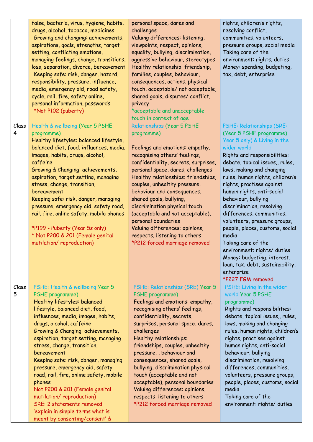|            | false, bacteria, virus, hygiene, habits,<br>drugs, alcohol, tobacco, medicines<br>Growing and changing: achievements,<br>aspirations, goals, strengths, target<br>setting, conflicting emotions,<br>managing feelings, change, transitions,<br>loss, separation, divorce, bereavement<br>Keeping safe: risk, danger, hazard,<br>responsibility, pressure, influence,<br>media, emergency aid, road safety,<br>cycle, rail, fire, safety online,<br>personal information, passwords<br>*Not P102 (puberty)                                                                                                           | personal space, dares and<br>challenges<br>Valuing differences: listening,<br>viewpoints, respect, opinions,<br>equality, bullying, discrimination,<br>aggressive behaviour, stereotypes<br>Healthy relationship: friendship,<br>families, couples, behaviour,<br>consequences, actions, physical<br>touch, acceptable/ not acceptable,<br>shared goals, disputes/ conflict,<br>privacy<br>*acceptable and unacceptable<br>touch in context of age                                                                                        | rights, children's rights,<br>resolving conflict,<br>communities, volunteers,<br>pressure groups, social media<br>Taking care of the<br>environment: rights, duties<br>Money: spending, budgeting,<br>tax, debt, enterprise                                                                                                                                                                                                                                                                                                                                                                                              |
|------------|---------------------------------------------------------------------------------------------------------------------------------------------------------------------------------------------------------------------------------------------------------------------------------------------------------------------------------------------------------------------------------------------------------------------------------------------------------------------------------------------------------------------------------------------------------------------------------------------------------------------|-------------------------------------------------------------------------------------------------------------------------------------------------------------------------------------------------------------------------------------------------------------------------------------------------------------------------------------------------------------------------------------------------------------------------------------------------------------------------------------------------------------------------------------------|--------------------------------------------------------------------------------------------------------------------------------------------------------------------------------------------------------------------------------------------------------------------------------------------------------------------------------------------------------------------------------------------------------------------------------------------------------------------------------------------------------------------------------------------------------------------------------------------------------------------------|
| Class<br>4 | Health & wellbeing (Year 5 PSHE<br>programme)<br>Healthy lifestyles: balanced lifestyle,<br>balanced diet, food, influences, media,<br>images, habits, drugs, alcohol,<br>caffeine<br>Growing & Changing: achievements,<br>aspiration, target setting, managing<br>stress, change, transition,<br>bereavement<br>Keeping safe: risk, danger, managing<br>pressure, emergency aid, safety road,<br>rail, fire, online safety, mobile phones<br>*P199 - Puberty (Year 5s only)<br>* Not P200 & 201 (Female genital<br>mutilation/reproduction)                                                                        | Relationships (Year 5 PSHE<br>programme)<br>Feelings and emotions: empathy,<br>recognising others' feelings,<br>confidentiality, secrets, surprises,<br>personal space, dares, challenges<br>Healthy relationships: friendships,<br>couples, unhealthy pressure,<br>behaviour and consequences,<br>shared goals, bullying,<br>discrimination physical touch<br>(acceptable and not acceptable),<br>personal boundaries<br>Valuing differences: opinions,<br>respects, listening to others<br>*P212 forced marriage removed                | PSHE: Relationships (SRE:<br>(Year 5 PSHE programme)<br>Year 5 only) & Living in the<br>wider world<br>Rights and responsibilities:<br>debate, topical issues,, rules,<br>laws, making and changing<br>rules, human rights, children's<br>rights, practises against<br>human rights, anti-social<br>behaviour, bullying<br>discrimination, resolving<br>differences, communities,<br>volunteers, pressure groups,<br>people, places, customs, social<br>media<br>Taking care of the<br>environment: rights/ duties<br>Money: budgeting, interest,<br>loan, tax, debt, sustainability,<br>enterprise<br>*P227 FGM removed |
| Class<br>5 | PSHE: Health & wellbeing Year 5<br>PSHE programme)<br>Healthy lifestyles: balanced<br>lifestyle, balanced diet, food,<br>influences, media, images, habits,<br>drugs, alcohol, caffeine<br>Growing & Changing: achievements,<br>aspiration, target setting, managing<br>stress, change, transition,<br>bereavement<br>Keeping safe: risk, danger, managing<br>pressure, emergency aid, safety<br>road, rail, fire, online safety, mobile<br>phones<br>Not P200 & 201 (Female genital<br>mutilation/reproduction)<br>SRE: 2 statements removed<br>'explain in simple terms what is<br>meant by consenting/consent' & | PSHE: Relationships (SRE) Year 5<br>PSHE programme)<br>Feelings and emotions: empathy,<br>recognising others' feelings,<br>confidentiality, secrets,<br>surprises, personal space, dares,<br>challenges<br>Healthy relationships:<br>friendships, couples, unhealthy<br>pressure,, behaviour and<br>consequences, shared goals,<br>bullying, discrimination physical<br>touch (acceptable and not<br>acceptable), personal boundaries<br>Valuing differences: opinions,<br>respects, listening to others<br>*P212 forced marriage removed | PSHE: Living in the wider<br>world Year 5 PSHE<br>programme)<br>Rights and responsibilities:<br>debate, topical issues,, rules,<br>laws, making and changing<br>rules, human rights, children's<br>rights, practises against<br>human rights, anti-social<br>behaviour, bullying<br>discrimination, resolving<br>differences, communities,<br>volunteers, pressure groups,<br>people, places, customs, social<br>media<br>Taking care of the<br>environment: rights/ duties                                                                                                                                              |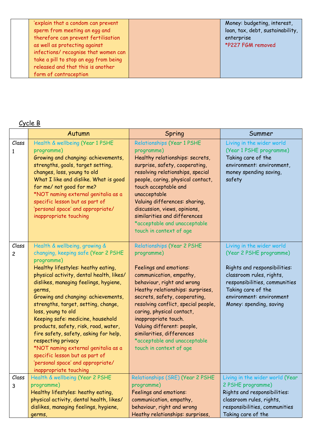| sperm from meeting an egg and<br>as well as protecting against | 'explain that a condom can prevent<br>therefore can prevent fertilisation<br>infections/ recognise that women can<br>take a pill to stop an egg from being | Money: budgeting, interest,<br>loan, tax, debt, sustainability,<br>enterprise<br>*P227 FGM removed |
|----------------------------------------------------------------|------------------------------------------------------------------------------------------------------------------------------------------------------------|----------------------------------------------------------------------------------------------------|
| released and that this is another                              |                                                                                                                                                            |                                                                                                    |
| form of contraception                                          |                                                                                                                                                            |                                                                                                    |

# Cycle B

|            | Autumn                                                                                                                                                                                                                                                                                                                                                                                                                                                                                                                                                                                                          | Spring                                                                                                                                                                                                                                                                                                                                                                                                                    | Summer                                                                                                                                                                                                                         |
|------------|-----------------------------------------------------------------------------------------------------------------------------------------------------------------------------------------------------------------------------------------------------------------------------------------------------------------------------------------------------------------------------------------------------------------------------------------------------------------------------------------------------------------------------------------------------------------------------------------------------------------|---------------------------------------------------------------------------------------------------------------------------------------------------------------------------------------------------------------------------------------------------------------------------------------------------------------------------------------------------------------------------------------------------------------------------|--------------------------------------------------------------------------------------------------------------------------------------------------------------------------------------------------------------------------------|
| Class<br>1 | Health & wellbeing (Year 1 PSHE<br>programme)<br>Growing and changing: achievements,<br>strengths, goals, target setting,<br>changes, loss, young to old<br>What I like and dislike. What is good<br>for me/ not good for me?<br>*NOT naming external genitalia as a<br>specific lesson but as part of<br>'personal space' and appropriate/<br>inappropriate touching                                                                                                                                                                                                                                           | Relationships (Year 1 PSHE<br>programme)<br>Healthy relationships: secrets,<br>surprise, safety, cooperating,<br>resolving relationships, special<br>people, caring, physical contact,<br>touch acceptable and<br>unacceptable<br>Valuing differences: sharing,<br>discussion, views, opinions,<br>similarities and differences<br>*acceptable and unacceptable<br>touch in context of age                                | Living in the wider world<br>(Year 1 PSHE programme)<br>Taking care of the<br>environment: environment,<br>money spending saving,<br>safety                                                                                    |
| Class<br>2 | Health & wellbeing, growing &<br>changing, keeping safe (Year 2 PSHE<br>programme)<br>Healthy lifestyles: heathy eating,<br>physical activity, dental health, likes/<br>dislikes, managing feelings, hygiene,<br>germs,<br>Growing and changing: achievements,<br>strengths, target, setting, change,<br>loss, young to old<br>Keeping safe: medicine, household<br>products, safety, risk, road, water,<br>fire safety, safety, asking for help,<br>respecting privacy<br>*NOT naming external genitalia as a<br>specific lesson but as part of<br>'personal space' and appropriate/<br>inappropriate touching | <b>Relationships (Year 2 PSHE</b><br>programme)<br>Feelings and emotions:<br>communication, empathy,<br>behaviour, right and wrong<br>Heathy relationships: surprises,<br>secrets, safety, cooperating,<br>resolving conflict, special people,<br>caring, physical contact,<br>inappropriate touch.<br>Valuing different: people,<br>similarities, differences<br>*acceptable and unacceptable<br>touch in context of age | Living in the wider world<br>(Year 2 PSHE programme)<br>Rights and responsibilities:<br>classroom rules, rights,<br>responsibilities, communities<br>Taking care of the<br>environment: environment<br>Money: spending, saving |
| Class      | Health & wellbeing (Year 2 PSHE                                                                                                                                                                                                                                                                                                                                                                                                                                                                                                                                                                                 | Relationships (SRE) (Year 2 PSHE                                                                                                                                                                                                                                                                                                                                                                                          | Living in the wider world (Year                                                                                                                                                                                                |
| 3          | programme)                                                                                                                                                                                                                                                                                                                                                                                                                                                                                                                                                                                                      | programme)                                                                                                                                                                                                                                                                                                                                                                                                                | 2 PSHE programme)                                                                                                                                                                                                              |
|            | Healthy lifestyles: heathy eating,                                                                                                                                                                                                                                                                                                                                                                                                                                                                                                                                                                              | Feelings and emotions:                                                                                                                                                                                                                                                                                                                                                                                                    | Rights and responsibilities:                                                                                                                                                                                                   |
|            | physical activity, dental health, likes/                                                                                                                                                                                                                                                                                                                                                                                                                                                                                                                                                                        | communication, empathy,                                                                                                                                                                                                                                                                                                                                                                                                   | classroom rules, rights,                                                                                                                                                                                                       |
|            | dislikes, managing feelings, hygiene,                                                                                                                                                                                                                                                                                                                                                                                                                                                                                                                                                                           | behaviour, right and wrong                                                                                                                                                                                                                                                                                                                                                                                                | responsibilities, communities<br>Taking care of the                                                                                                                                                                            |
|            | germs,                                                                                                                                                                                                                                                                                                                                                                                                                                                                                                                                                                                                          | Heathy relationships: surprises,                                                                                                                                                                                                                                                                                                                                                                                          |                                                                                                                                                                                                                                |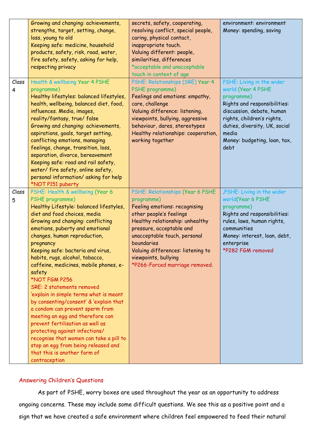|            | Growing and changing: achievements,<br>strengths, target, setting, change,<br>loss, young to old<br>Keeping safe: medicine, household<br>products, safety, risk, road, water,                                                                                                                                                                                                                                                                                                                                                                                                                                                                                                                                                                                                                     | secrets, safety, cooperating,<br>resolving conflict, special people,<br>caring, physical contact,<br>inappropriate touch.<br>Valuing different: people,                                                                                                                                                                | environment: environment<br>Money: spending, saving                                                                                                                                                                                        |
|------------|---------------------------------------------------------------------------------------------------------------------------------------------------------------------------------------------------------------------------------------------------------------------------------------------------------------------------------------------------------------------------------------------------------------------------------------------------------------------------------------------------------------------------------------------------------------------------------------------------------------------------------------------------------------------------------------------------------------------------------------------------------------------------------------------------|------------------------------------------------------------------------------------------------------------------------------------------------------------------------------------------------------------------------------------------------------------------------------------------------------------------------|--------------------------------------------------------------------------------------------------------------------------------------------------------------------------------------------------------------------------------------------|
|            | fire safety, safety, asking for help,<br>respecting privacy                                                                                                                                                                                                                                                                                                                                                                                                                                                                                                                                                                                                                                                                                                                                       | similarities, differences<br>*acceptable and unacceptable<br>touch in context of age                                                                                                                                                                                                                                   |                                                                                                                                                                                                                                            |
| Class<br>4 | Health & wellbeing Year 4 PSHE<br>programme)<br>Healthy lifestyles: balanced lifestyles,<br>health, wellbeing, balanced diet, food,<br>influences. Media, images,<br>reality/fantasy, true/false<br>Growing and changing: achievements,<br>aspirations, goals, target setting,<br>conflicting emotions, managing<br>feelings, change, transition, loss,<br>separation, divorce, bereavement<br>Keeping safe: road and rail safety,<br>water/fire safety, online safety,<br>personal information/asking for help<br>*NOT P151 puberty                                                                                                                                                                                                                                                              | PSHE: Relationships (SRE) Year 4<br>PSHE programme)<br>Feelings and emotions: empathy,<br>care, challenge<br>Valuing difference: listening,<br>viewpoints, bullying, aggressive<br>behaviour, dares, stereotypes<br>Healthy relationships: cooperation,<br>working together                                            | PSHE: Living in the wider<br>world (Year 4 PSHE<br>programme)<br>Rights and responsibilities:<br>discussion, debate, human<br>rights, children's rights,<br>duties, diversity, UK, social<br>media<br>Money: budgeting, loan, tax,<br>debt |
| Class<br>5 | PSHE: Health & wellbeing (Year 6<br>PSHE programme)<br>Healthy Lifestyle: balanced lifestyles,<br>diet and food choices, media<br>Growing and changing: conflicting<br>emotions, puberty and emotional<br>changes, human reproduction,<br>pregnancy<br>Keeping safe: bacteria and virus,<br>habits, rugs, alcohol, tobacco,<br>caffeine, medicines, mobile phones, e-<br>safety<br>*NOT FGM P256<br>SRE: 2 statements removed<br>'explain in simple terms what is meant<br>by consenting/consent' & 'explain that<br>a condom can prevent sperm from<br>meeting an egg and therefore can<br>prevent fertilisation as well as<br>protecting against infections/<br>recognise that women can take a pill to<br>stop an egg from being released and<br>that this is another form of<br>contraception | PSHE: Relationships (Year 6 PSHE<br>programme)<br>Feeling emotions: recognising<br>other people's feelings<br>Healthy relationship: unhealthy<br>pressure, acceptable and<br>unacceptable touch, personal<br>boundaries<br>Valuing differences: listening to<br>viewpoints, bullying<br>*P266-Forced marriage removed. | PSHE: Living in the wider<br>world(Year 6 PSHE<br>programme)<br>Rights and responsibilities:<br>rules, laws, human rights,<br>communities<br>Money: interest, loan, debt,<br>enterprise<br>*P282 FGM removed                               |

## Answering Children's Questions

As part of PSHE, worry boxes are used throughout the year as an opportunity to address ongoing concerns. These may include some difficult questions. We see this as a positive point and a sign that we have created a safe environment where children feel empowered to feed their natural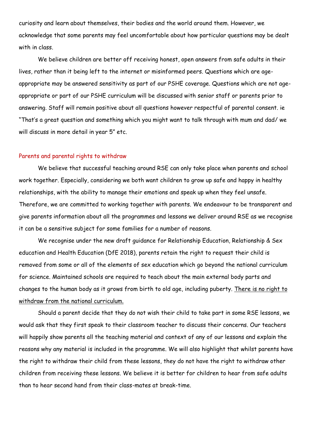curiosity and learn about themselves, their bodies and the world around them. However, we acknowledge that some parents may feel uncomfortable about how particular questions may be dealt with in class.

We believe children are better off receiving honest, open answers from safe adults in their lives, rather than it being left to the internet or misinformed peers. Questions which are ageappropriate may be answered sensitivity as part of our PSHE coverage. Questions which are not ageappropriate or part of our PSHE curriculum will be discussed with senior staff or parents prior to answering. Staff will remain positive about all questions however respectful of parental consent. ie "That's a great question and something which you might want to talk through with mum and dad/ we will discuss in more detail in year 5" etc.

#### Parents and parental rights to withdraw

We believe that successful teaching around RSE can only take place when parents and school work together. Especially, considering we both want children to grow up safe and happy in healthy relationships, with the ability to manage their emotions and speak up when they feel unsafe. Therefore, we are committed to working together with parents. We endeavour to be transparent and give parents information about all the programmes and lessons we deliver around RSE as we recognise it can be a sensitive subject for some families for a number of reasons.

We recognise under the new draft guidance for Relationship Education, Relationship & Sex education and Health Education (DfE 2018), parents retain the right to request their child is removed from some or all of the elements of sex education which go beyond the national curriculum for science. Maintained schools are required to teach about the main external body parts and changes to the human body as it grows from birth to old age, including puberty. There is no right to withdraw from the national curriculum.

Should a parent decide that they do not wish their child to take part in some RSE lessons, we would ask that they first speak to their classroom teacher to discuss their concerns. Our teachers will happily show parents all the teaching material and context of any of our lessons and explain the reasons why any material is included in the programme. We will also highlight that whilst parents have the right to withdraw their child from these lessons, they do not have the right to withdraw other children from receiving these lessons. We believe it is better for children to hear from safe adults than to hear second hand from their class-mates at break-time.